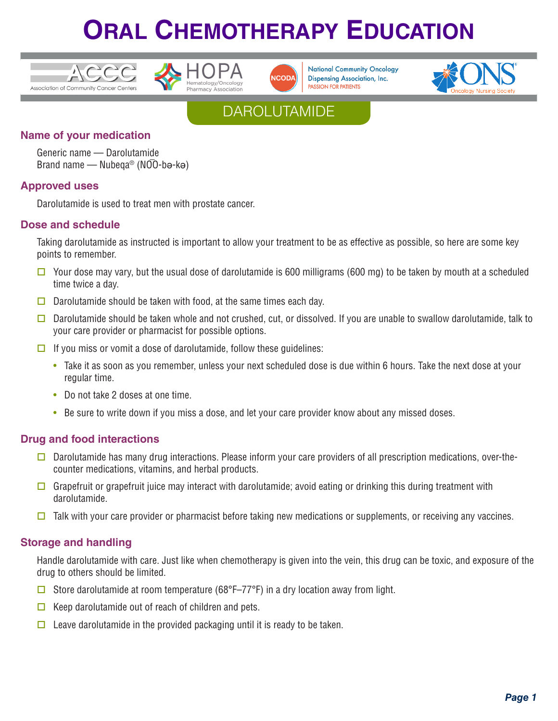





**National Community Oncology Dispensing Association, Inc. PASSION FOR PATIENTS** 



### **DAROLUTAMIDE**

#### **Name of your medication**

Generic name — Darolutamide \_Brand name — Nubeqa® (NOO-bə-kə)

#### **Approved uses**

Darolutamide is used to treat men with prostate cancer.

#### **Dose and schedule**

Taking darolutamide as instructed is important to allow your treatment to be as effective as possible, so here are some key points to remember.

- $\Box$  Your dose may vary, but the usual dose of darolutamide is 600 milligrams (600 mg) to be taken by mouth at a scheduled time twice a day.
- $\Box$  Darolutamide should be taken with food, at the same times each day.
- Darolutamide should be taken whole and not crushed, cut, or dissolved. If you are unable to swallow darolutamide, talk to your care provider or pharmacist for possible options.
- $\Box$  If you miss or vomit a dose of darolutamide, follow these quidelines:
	- Take it as soon as you remember, unless your next scheduled dose is due within 6 hours. Take the next dose at your regular time.
	- Do not take 2 doses at one time.
	- Be sure to write down if you miss a dose, and let your care provider know about any missed doses.

#### **Drug and food interactions**

- Darolutamide has many drug interactions. Please inform your care providers of all prescription medications, over-thecounter medications, vitamins, and herbal products.
- Grapefruit or grapefruit juice may interact with darolutamide; avoid eating or drinking this during treatment with darolutamide.
- $\Box$  Talk with your care provider or pharmacist before taking new medications or supplements, or receiving any vaccines.

#### **Storage and handling**

Handle darolutamide with care. Just like when chemotherapy is given into the vein, this drug can be toxic, and exposure of the drug to others should be limited.

- G Store darolutamide at room temperature (68°F–77°F) in a dry location away from light.
- $\Box$  Keep darolutamide out of reach of children and pets.
- $\Box$  Leave darolutamide in the provided packaging until it is ready to be taken.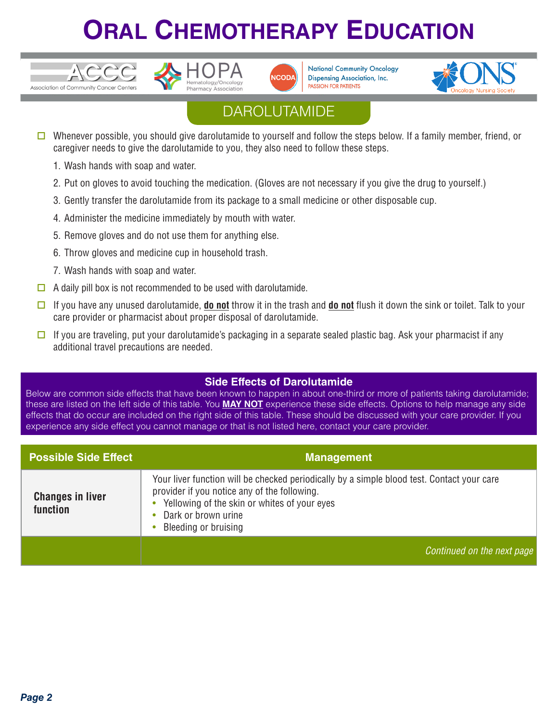





**National Community Oncology Dispensing Association, Inc. PASSION FOR PATIENTS** 



### **DAROLUTAMIDE**

- Whenever possible, you should give darolutamide to yourself and follow the steps below. If a family member, friend, or caregiver needs to give the darolutamide to you, they also need to follow these steps.
	- 1. Wash hands with soap and water.
	- 2. Put on gloves to avoid touching the medication. (Gloves are not necessary if you give the drug to yourself.)
	- 3. Gently transfer the darolutamide from its package to a small medicine or other disposable cup.
	- 4. Administer the medicine immediately by mouth with water.
	- 5. Remove gloves and do not use them for anything else.
	- 6. Throw gloves and medicine cup in household trash.
	- 7. Wash hands with soap and water.
- $\Box$  A daily pill box is not recommended to be used with darolutamide.
- o If you have any unused darolutamide, **do not** throw it in the trash and **do not** flush it down the sink or toilet. Talk to your care provider or pharmacist about proper disposal of darolutamide.
- $\square$  If you are traveling, put your darolutamide's packaging in a separate sealed plastic bag. Ask your pharmacist if any additional travel precautions are needed.

#### **Side Effects of Darolutamide**

Below are common side effects that have been known to happen in about one-third or more of patients taking darolutamide; these are listed on the left side of this table. You **MAY NOT** experience these side effects. Options to help manage any side effects that do occur are included on the right side of this table. These should be discussed with your care provider. If you experience any side effect you cannot manage or that is not listed here, contact your care provider.

| <b>Possible Side Effect</b>         | <b>Management</b>                                                                                                                                                                                                                         |
|-------------------------------------|-------------------------------------------------------------------------------------------------------------------------------------------------------------------------------------------------------------------------------------------|
| <b>Changes in liver</b><br>function | Your liver function will be checked periodically by a simple blood test. Contact your care<br>provider if you notice any of the following.<br>Yellowing of the skin or whites of your eyes<br>Dark or brown urine<br>Bleeding or bruising |
|                                     | Continued on the next page                                                                                                                                                                                                                |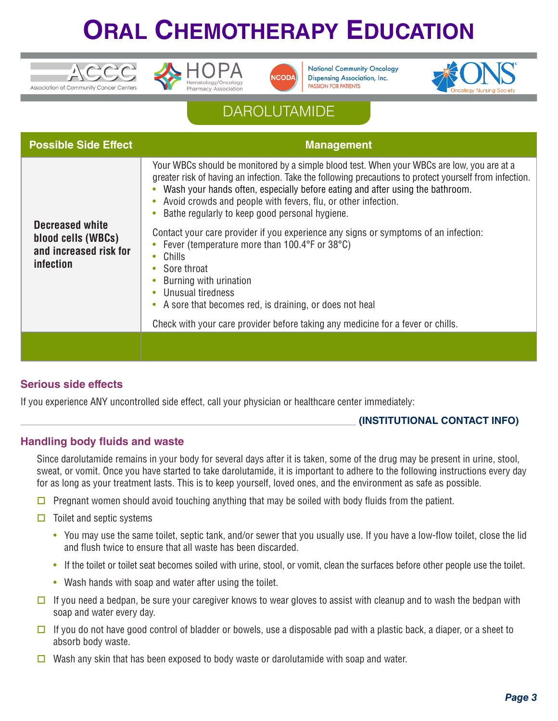





**National Community Oncology Dispensing Association, Inc. PASSION FOR PATIENTS** 



### **DAROLUTAMIDE**

| <b>Possible Side Effect</b>                                                         | <b>Management</b>                                                                                                                                                                                                                                                                                                                                                                                                                                                                                                                                                                                                                                                                   |
|-------------------------------------------------------------------------------------|-------------------------------------------------------------------------------------------------------------------------------------------------------------------------------------------------------------------------------------------------------------------------------------------------------------------------------------------------------------------------------------------------------------------------------------------------------------------------------------------------------------------------------------------------------------------------------------------------------------------------------------------------------------------------------------|
| Decreased white<br>blood cells (WBCs)<br>and increased risk for<br><i>infection</i> | Your WBCs should be monitored by a simple blood test. When your WBCs are low, you are at a<br>greater risk of having an infection. Take the following precautions to protect yourself from infection.<br>Wash your hands often, especially before eating and after using the bathroom.<br>Avoid crowds and people with fevers, flu, or other infection.<br>Bathe regularly to keep good personal hygiene.<br>Contact your care provider if you experience any signs or symptoms of an infection:<br>Fever (temperature more than 100.4°F or 38°C)<br>Chills<br>Sore throat<br>Burning with urination<br>Unusual tiredness<br>A sore that becomes red, is draining, or does not heal |
|                                                                                     | Check with your care provider before taking any medicine for a fever or chills.                                                                                                                                                                                                                                                                                                                                                                                                                                                                                                                                                                                                     |
|                                                                                     |                                                                                                                                                                                                                                                                                                                                                                                                                                                                                                                                                                                                                                                                                     |

#### **Serious side effects**

If you experience ANY uncontrolled side effect, call your physician or healthcare center immediately:

#### \_\_\_\_\_\_\_\_\_\_\_\_\_\_\_\_\_\_\_\_\_\_\_\_\_\_\_\_\_\_\_\_\_\_\_\_\_\_\_\_\_\_\_\_\_\_\_\_\_\_\_\_\_\_\_\_\_\_\_\_\_\_\_\_\_\_\_ **(INSTITUTIONAL CONTACT INFO)**

#### **Handling body fluids and waste**

Since darolutamide remains in your body for several days after it is taken, some of the drug may be present in urine, stool, sweat, or vomit. Once you have started to take darolutamide, it is important to adhere to the following instructions every day for as long as your treatment lasts. This is to keep yourself, loved ones, and the environment as safe as possible.

- $\Box$  Pregnant women should avoid touching anything that may be soiled with body fluids from the patient.
- $\Box$  Toilet and septic systems
	- You may use the same toilet, septic tank, and/or sewer that you usually use. If you have a low-flow toilet, close the lid and flush twice to ensure that all waste has been discarded.
	- If the toilet or toilet seat becomes soiled with urine, stool, or vomit, clean the surfaces before other people use the toilet.
	- Wash hands with soap and water after using the toilet.
- $\square$  If you need a bedpan, be sure your caregiver knows to wear gloves to assist with cleanup and to wash the bedpan with soap and water every day.
- $\square$  If you do not have good control of bladder or bowels, use a disposable pad with a plastic back, a diaper, or a sheet to absorb body waste.
- $\Box$  Wash any skin that has been exposed to body waste or darolutamide with soap and water.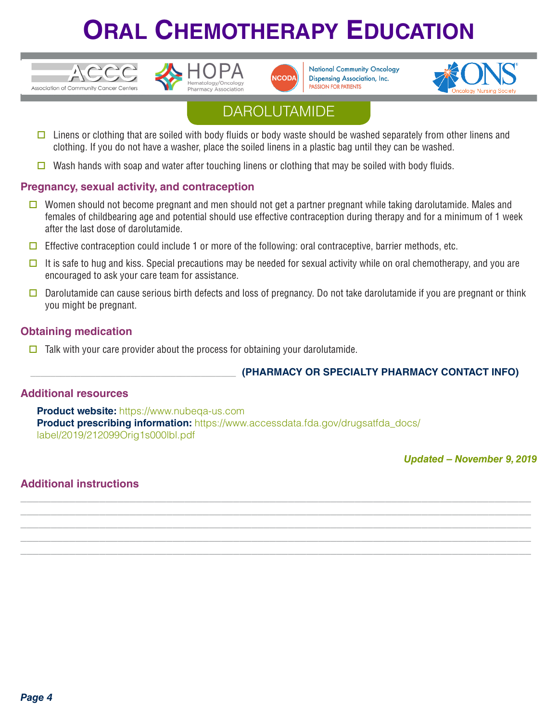

CC





**National Community Oncology Dispensing Association, Inc. PASSION FOR PATIENTS** 



### **DAROLUTAMIDE**

- $\square$  Linens or clothing that are soiled with body fluids or body waste should be washed separately from other linens and clothing. If you do not have a washer, place the soiled linens in a plastic bag until they can be washed.
- Wash hands with soap and water after touching linens or clothing that may be soiled with body fluids.

#### **Pregnancy, sexual activity, and contraception**

- $\Box$  Women should not become pregnant and men should not get a partner pregnant while taking darolutamide. Males and females of childbearing age and potential should use effective contraception during therapy and for a minimum of 1 week after the last dose of darolutamide.
- $\Box$  Effective contraception could include 1 or more of the following: oral contraceptive, barrier methods, etc.
- It is safe to hug and kiss. Special precautions may be needed for sexual activity while on oral chemotherapy, and you are encouraged to ask your care team for assistance.
- Darolutamide can cause serious birth defects and loss of pregnancy. Do not take darolutamide if you are pregnant or think you might be pregnant.

**\_\_\_\_\_\_\_\_\_\_\_\_\_\_\_\_\_\_\_\_\_\_\_\_\_\_\_\_\_\_\_\_\_\_\_\_\_\_\_\_\_\_\_\_\_\_\_\_\_\_\_\_\_\_\_\_\_\_\_\_\_\_\_\_\_\_\_\_\_\_\_\_\_\_\_\_\_\_\_\_\_\_\_\_ \_\_\_\_\_\_\_\_\_\_\_\_\_\_\_\_\_\_\_\_\_\_\_\_\_\_\_\_\_\_\_\_\_\_\_\_\_\_\_\_\_\_\_\_\_\_\_\_\_\_\_\_\_\_\_\_\_\_\_\_\_\_\_\_\_\_\_\_\_\_\_\_\_\_\_\_\_\_\_\_\_\_\_\_ \_\_\_\_\_\_\_\_\_\_\_\_\_\_\_\_\_\_\_\_\_\_\_\_\_\_\_\_\_\_\_\_\_\_\_\_\_\_\_\_\_\_\_\_\_\_\_\_\_\_\_\_\_\_\_\_\_\_\_\_\_\_\_\_\_\_\_\_\_\_\_\_\_\_\_\_\_\_\_\_\_\_\_\_ \_\_\_\_\_\_\_\_\_\_\_\_\_\_\_\_\_\_\_\_\_\_\_\_\_\_\_\_\_\_\_\_\_\_\_\_\_\_\_\_\_\_\_\_\_\_\_\_\_\_\_\_\_\_\_\_\_\_\_\_\_\_\_\_\_\_\_\_\_\_\_\_\_\_\_\_\_\_\_\_\_\_\_\_ \_\_\_\_\_\_\_\_\_\_\_\_\_\_\_\_\_\_\_\_\_\_\_\_\_\_\_\_\_\_\_\_\_\_\_\_\_\_\_\_\_\_\_\_\_\_\_\_\_\_\_\_\_\_\_\_\_\_\_\_\_\_\_\_\_\_\_\_\_\_\_\_\_\_\_\_\_\_\_\_\_\_\_\_**

#### **Obtaining medication**

 $\Box$  Talk with your care provider about the process for obtaining your darolutamide.

#### \_\_\_\_\_\_\_\_\_\_\_\_\_\_\_\_\_\_\_\_\_\_\_\_\_\_\_\_\_\_\_\_\_\_\_\_\_\_\_\_\_ **(PHARMACY OR SPECIALTY PHARMACY CONTACT INFO)**

#### **Additional resources**

**Product website:** https://www.nubeqa-us.com **Product prescribing information:** https://www.accessdata.fda.gov/drugsatfda\_docs/ label/2019/212099Orig1s000lbl.pdf

*Updated – November 9, 2019*

#### **Additional instructions**